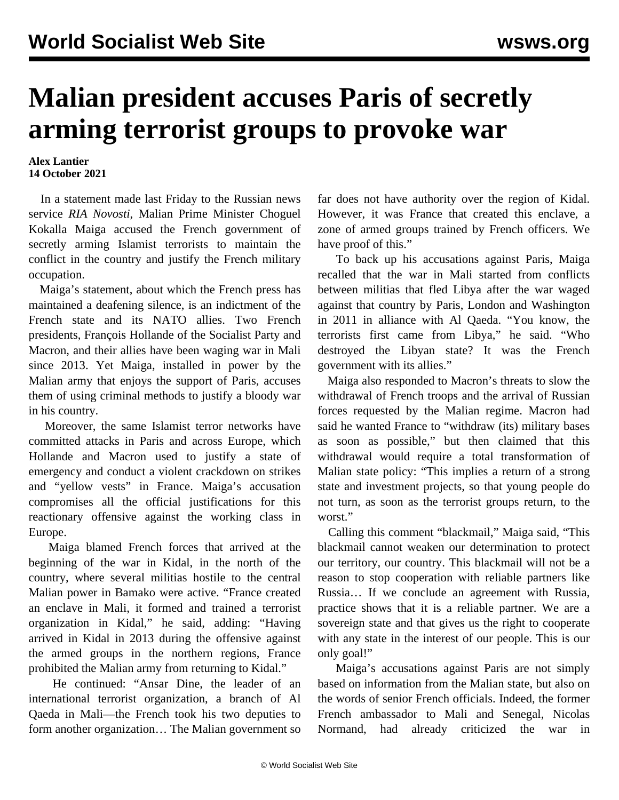## **Malian president accuses Paris of secretly arming terrorist groups to provoke war**

## **Alex Lantier 14 October 2021**

 In a statement made last Friday to the Russian news service *RIA Novosti*, Malian Prime Minister Choguel Kokalla Maiga accused the French government of secretly arming Islamist terrorists to maintain the conflict in the country and justify the French military occupation.

 Maiga's statement, about which the French press has maintained a deafening silence, is an indictment of the French state and its NATO allies. Two French presidents, François Hollande of the Socialist Party and Macron, and their allies have been waging war in Mali since 2013. Yet Maiga, installed in power by the Malian army that enjoys the support of Paris, accuses them of using criminal methods to justify a bloody war in his country.

 Moreover, the same Islamist terror networks have committed attacks in Paris and across Europe, which Hollande and Macron used to justify a state of emergency and conduct a violent crackdown on strikes and "yellow vests" in France. Maiga's accusation compromises all the official justifications for this reactionary offensive against the working class in Europe.

 Maiga blamed French forces that arrived at the beginning of the war in Kidal, in the north of the country, where several militias hostile to the central Malian power in Bamako were active. "France created an enclave in Mali, it formed and trained a terrorist organization in Kidal," he said, adding: "Having arrived in Kidal in 2013 during the offensive against the armed groups in the northern regions, France prohibited the Malian army from returning to Kidal."

 He continued: "Ansar Dine, the leader of an international terrorist organization, a branch of Al Qaeda in Mali—the French took his two deputies to form another organization… The Malian government so far does not have authority over the region of Kidal. However, it was France that created this enclave, a zone of armed groups trained by French officers. We have proof of this."

 To back up his accusations against Paris, Maiga recalled that the war in Mali started from conflicts between militias that fled Libya after the war waged against that country by Paris, London and Washington in 2011 in alliance with Al Qaeda. "You know, the terrorists first came from Libya," he said. "Who destroyed the Libyan state? It was the French government with its allies."

 Maiga also responded to Macron's threats to slow the withdrawal of French troops and the arrival of Russian forces requested by the Malian regime. Macron had said he wanted France to "withdraw (its) military bases as soon as possible," but then claimed that this withdrawal would require a total transformation of Malian state policy: "This implies a return of a strong state and investment projects, so that young people do not turn, as soon as the terrorist groups return, to the worst."

 Calling this comment "blackmail," Maiga said, "This blackmail cannot weaken our determination to protect our territory, our country. This blackmail will not be a reason to stop cooperation with reliable partners like Russia… If we conclude an agreement with Russia, practice shows that it is a reliable partner. We are a sovereign state and that gives us the right to cooperate with any state in the interest of our people. This is our only goal!"

 Maiga's accusations against Paris are not simply based on information from the Malian state, but also on the words of senior French officials. Indeed, the former French ambassador to Mali and Senegal, Nicolas Normand, had already criticized the war in